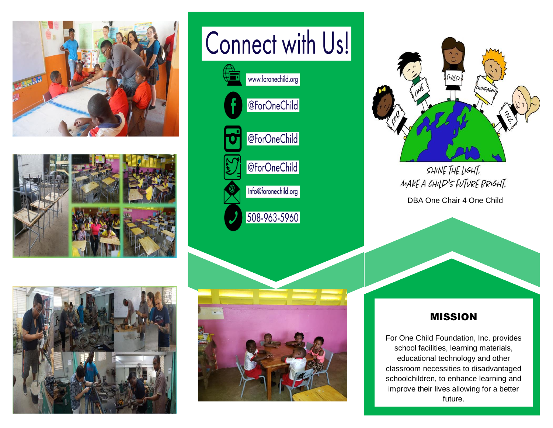





# Connect with Us!







SHINE THE LIGHT. MAKE A CHILD'S FUTURE BRIGHT. DBA One Chair 4 One Child

#### MISSION

For One Child Foundation, Inc. provides school facilities, learning materials, educational technology and other classroom necessities to disadvantaged schoolchildren, to enhance learning and improve their lives allowing for a better future.